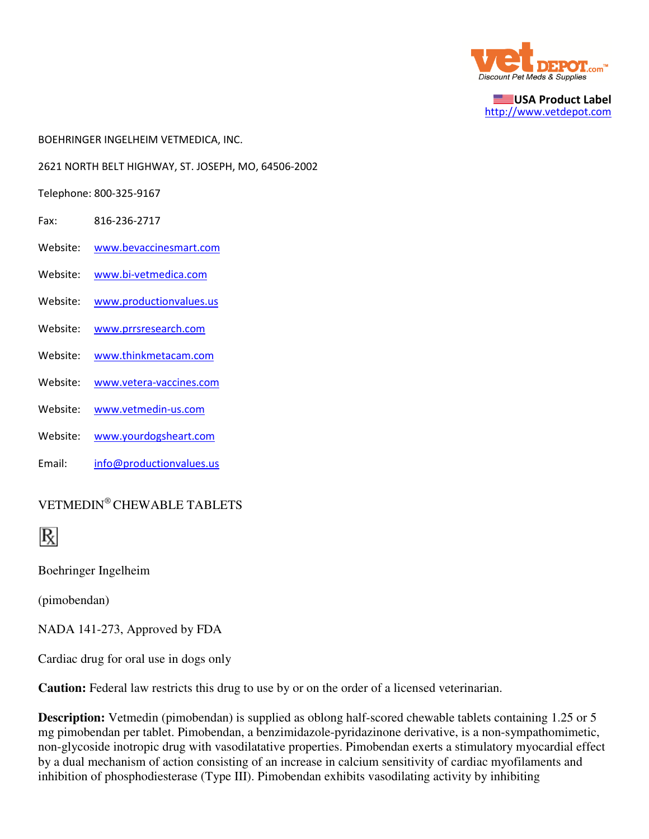

USA Product Label http://www.vetdepot.com

- BOEHRINGER INGELHEIM VETMEDICA, INC.
- 2621 NORTH BELT HIGHWAY, ST. JOSEPH, MO, 64506-2002
- Telephone: 800-325-9167
- Fax: 816-236-2717
- Website: www.bevaccinesmart.com
- Website: www.bi-vetmedica.com
- Website: www.productionvalues.us
- Website: www.prrsresearch.com
- Website: www.thinkmetacam.com
- Website: www.vetera-vaccines.com
- Website: www.vetmedin-us.com
- Website: www.yourdogsheart.com
- Email: info@productionvalues.us

# VETMEDIN® CHEWABLE TABLETS



Boehringer Ingelheim

(pimobendan)

NADA 141-273, Approved by FDA

Cardiac drug for oral use in dogs only

**Caution:** Federal law restricts this drug to use by or on the order of a licensed veterinarian.

**Description:** Vetmedin (pimobendan) is supplied as oblong half-scored chewable tablets containing 1.25 or 5 mg pimobendan per tablet. Pimobendan, a benzimidazole-pyridazinone derivative, is a non-sympathomimetic, non-glycoside inotropic drug with vasodilatative properties. Pimobendan exerts a stimulatory myocardial effect by a dual mechanism of action consisting of an increase in calcium sensitivity of cardiac myofilaments and inhibition of phosphodiesterase (Type III). Pimobendan exhibits vasodilating activity by inhibiting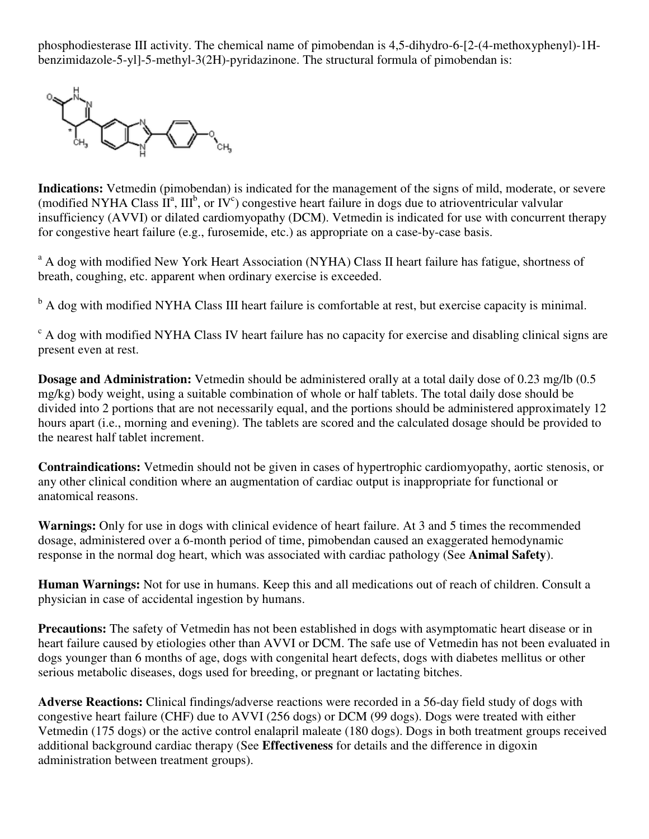phosphodiesterase III activity. The chemical name of pimobendan is 4,5-dihydro-6-[2-(4-methoxyphenyl)-1Hbenzimidazole-5-yl]-5-methyl-3(2H)-pyridazinone. The structural formula of pimobendan is:



**Indications:** Vetmedin (pimobendan) is indicated for the management of the signs of mild, moderate, or severe (modified NYHA Class  $\overline{II}^a$ , III<sup>b</sup>, or IV<sup>c</sup>) congestive heart failure in dogs due to atrioventricular valvular insufficiency (AVVI) or dilated cardiomyopathy (DCM). Vetmedin is indicated for use with concurrent therapy for congestive heart failure (e.g., furosemide, etc.) as appropriate on a case-by-case basis.

<sup>a</sup> A dog with modified New York Heart Association (NYHA) Class II heart failure has fatigue, shortness of breath, coughing, etc. apparent when ordinary exercise is exceeded.

<sup>b</sup> A dog with modified NYHA Class III heart failure is comfortable at rest, but exercise capacity is minimal.

<sup>c</sup> A dog with modified NYHA Class IV heart failure has no capacity for exercise and disabling clinical signs are present even at rest.

**Dosage and Administration:** Vetmedin should be administered orally at a total daily dose of 0.23 mg/lb (0.5 mg/kg) body weight, using a suitable combination of whole or half tablets. The total daily dose should be divided into 2 portions that are not necessarily equal, and the portions should be administered approximately 12 hours apart (i.e., morning and evening). The tablets are scored and the calculated dosage should be provided to the nearest half tablet increment.

**Contraindications:** Vetmedin should not be given in cases of hypertrophic cardiomyopathy, aortic stenosis, or any other clinical condition where an augmentation of cardiac output is inappropriate for functional or anatomical reasons.

**Warnings:** Only for use in dogs with clinical evidence of heart failure. At 3 and 5 times the recommended dosage, administered over a 6-month period of time, pimobendan caused an exaggerated hemodynamic response in the normal dog heart, which was associated with cardiac pathology (See **Animal Safety**).

**Human Warnings:** Not for use in humans. Keep this and all medications out of reach of children. Consult a physician in case of accidental ingestion by humans.

**Precautions:** The safety of Vetmedin has not been established in dogs with asymptomatic heart disease or in heart failure caused by etiologies other than AVVI or DCM. The safe use of Vetmedin has not been evaluated in dogs younger than 6 months of age, dogs with congenital heart defects, dogs with diabetes mellitus or other serious metabolic diseases, dogs used for breeding, or pregnant or lactating bitches.

**Adverse Reactions:** Clinical findings/adverse reactions were recorded in a 56-day field study of dogs with congestive heart failure (CHF) due to AVVI (256 dogs) or DCM (99 dogs). Dogs were treated with either Vetmedin (175 dogs) or the active control enalapril maleate (180 dogs). Dogs in both treatment groups received additional background cardiac therapy (See **Effectiveness** for details and the difference in digoxin administration between treatment groups).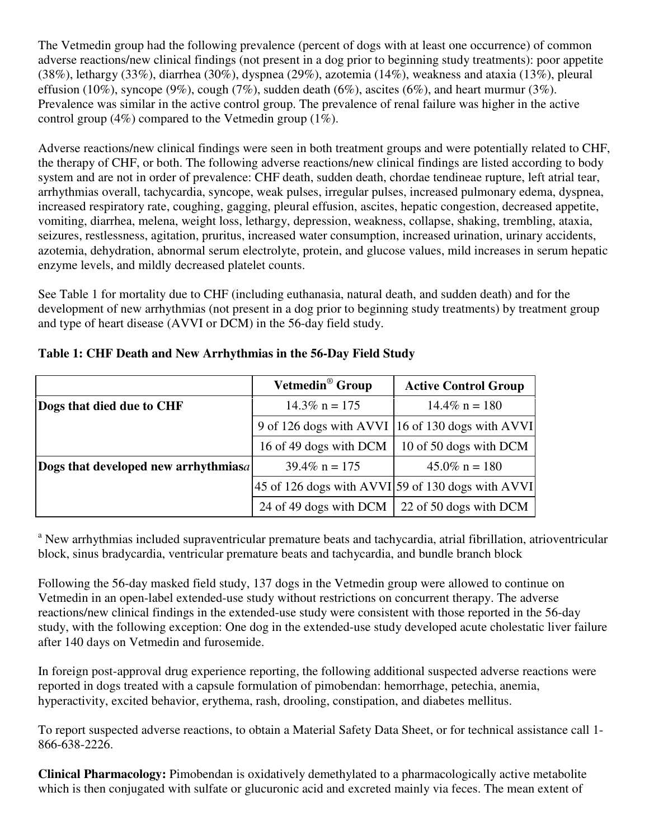The Vetmedin group had the following prevalence (percent of dogs with at least one occurrence) of common adverse reactions/new clinical findings (not present in a dog prior to beginning study treatments): poor appetite (38%), lethargy (33%), diarrhea (30%), dyspnea (29%), azotemia (14%), weakness and ataxia (13%), pleural effusion (10%), syncope (9%), cough (7%), sudden death (6%), ascites (6%), and heart murmur (3%). Prevalence was similar in the active control group. The prevalence of renal failure was higher in the active control group (4%) compared to the Vetmedin group (1%).

Adverse reactions/new clinical findings were seen in both treatment groups and were potentially related to CHF, the therapy of CHF, or both. The following adverse reactions/new clinical findings are listed according to body system and are not in order of prevalence: CHF death, sudden death, chordae tendineae rupture, left atrial tear, arrhythmias overall, tachycardia, syncope, weak pulses, irregular pulses, increased pulmonary edema, dyspnea, increased respiratory rate, coughing, gagging, pleural effusion, ascites, hepatic congestion, decreased appetite, vomiting, diarrhea, melena, weight loss, lethargy, depression, weakness, collapse, shaking, trembling, ataxia, seizures, restlessness, agitation, pruritus, increased water consumption, increased urination, urinary accidents, azotemia, dehydration, abnormal serum electrolyte, protein, and glucose values, mild increases in serum hepatic enzyme levels, and mildly decreased platelet counts.

See Table 1 for mortality due to CHF (including euthanasia, natural death, and sudden death) and for the development of new arrhythmias (not present in a dog prior to beginning study treatments) by treatment group and type of heart disease (AVVI or DCM) in the 56-day field study.

|                                      | Vetmedin <sup>®</sup> Group                                            | <b>Active Control Group</b>                      |
|--------------------------------------|------------------------------------------------------------------------|--------------------------------------------------|
| Dogs that died due to CHF            | $14.3\%$ n = 175                                                       | $14.4\%$ n = 180                                 |
|                                      |                                                                        | 9 of 126 dogs with AVVI 16 of 130 dogs with AVVI |
|                                      | 16 of 49 dogs with DCM                                                 | 10 of 50 dogs with DCM                           |
| Dogs that developed new arrhythmiasa | $39.4\%$ n = 175                                                       | $45.0\%$ n = 180                                 |
|                                      | $ 45 \text{ of } 126 \text{ dogs with AVVI} $ 59 of 130 dogs with AVVI |                                                  |
|                                      | 24 of 49 dogs with DCM                                                 | 22 of 50 dogs with DCM                           |

## **Table 1: CHF Death and New Arrhythmias in the 56-Day Field Study**

<sup>a</sup> New arrhythmias included supraventricular premature beats and tachycardia, atrial fibrillation, atrioventricular block, sinus bradycardia, ventricular premature beats and tachycardia, and bundle branch block

Following the 56-day masked field study, 137 dogs in the Vetmedin group were allowed to continue on Vetmedin in an open-label extended-use study without restrictions on concurrent therapy. The adverse reactions/new clinical findings in the extended-use study were consistent with those reported in the 56-day study, with the following exception: One dog in the extended-use study developed acute cholestatic liver failure after 140 days on Vetmedin and furosemide.

In foreign post-approval drug experience reporting, the following additional suspected adverse reactions were reported in dogs treated with a capsule formulation of pimobendan: hemorrhage, petechia, anemia, hyperactivity, excited behavior, erythema, rash, drooling, constipation, and diabetes mellitus.

To report suspected adverse reactions, to obtain a Material Safety Data Sheet, or for technical assistance call 1- 866-638-2226.

**Clinical Pharmacology:** Pimobendan is oxidatively demethylated to a pharmacologically active metabolite which is then conjugated with sulfate or glucuronic acid and excreted mainly via feces. The mean extent of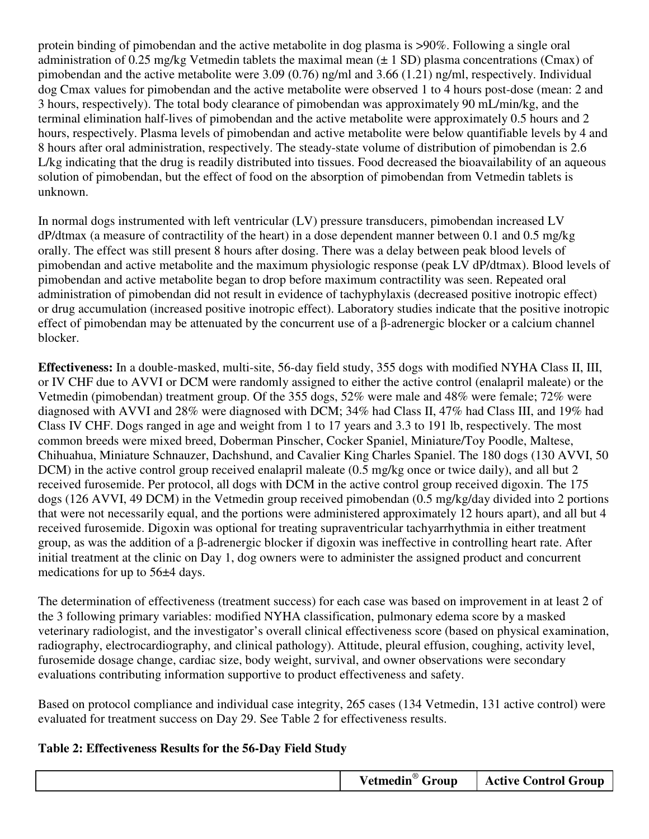protein binding of pimobendan and the active metabolite in dog plasma is >90%. Following a single oral administration of 0.25 mg/kg Vetmedin tablets the maximal mean  $(\pm 1 \text{ SD})$  plasma concentrations (Cmax) of pimobendan and the active metabolite were 3.09 (0.76) ng/ml and 3.66 (1.21) ng/ml, respectively. Individual dog Cmax values for pimobendan and the active metabolite were observed 1 to 4 hours post-dose (mean: 2 and 3 hours, respectively). The total body clearance of pimobendan was approximately 90 mL/min/kg, and the terminal elimination half-lives of pimobendan and the active metabolite were approximately 0.5 hours and 2 hours, respectively. Plasma levels of pimobendan and active metabolite were below quantifiable levels by 4 and 8 hours after oral administration, respectively. The steady-state volume of distribution of pimobendan is 2.6 L/kg indicating that the drug is readily distributed into tissues. Food decreased the bioavailability of an aqueous solution of pimobendan, but the effect of food on the absorption of pimobendan from Vetmedin tablets is unknown.

In normal dogs instrumented with left ventricular (LV) pressure transducers, pimobendan increased LV dP/dtmax (a measure of contractility of the heart) in a dose dependent manner between 0.1 and 0.5 mg/kg orally. The effect was still present 8 hours after dosing. There was a delay between peak blood levels of pimobendan and active metabolite and the maximum physiologic response (peak LV dP/dtmax). Blood levels of pimobendan and active metabolite began to drop before maximum contractility was seen. Repeated oral administration of pimobendan did not result in evidence of tachyphylaxis (decreased positive inotropic effect) or drug accumulation (increased positive inotropic effect). Laboratory studies indicate that the positive inotropic effect of pimobendan may be attenuated by the concurrent use of a β-adrenergic blocker or a calcium channel blocker.

**Effectiveness:** In a double-masked, multi-site, 56-day field study, 355 dogs with modified NYHA Class II, III, or IV CHF due to AVVI or DCM were randomly assigned to either the active control (enalapril maleate) or the Vetmedin (pimobendan) treatment group. Of the 355 dogs, 52% were male and 48% were female; 72% were diagnosed with AVVI and 28% were diagnosed with DCM; 34% had Class II, 47% had Class III, and 19% had Class IV CHF. Dogs ranged in age and weight from 1 to 17 years and 3.3 to 191 lb, respectively. The most common breeds were mixed breed, Doberman Pinscher, Cocker Spaniel, Miniature/Toy Poodle, Maltese, Chihuahua, Miniature Schnauzer, Dachshund, and Cavalier King Charles Spaniel. The 180 dogs (130 AVVI, 50 DCM) in the active control group received enalapril maleate (0.5 mg/kg once or twice daily), and all but 2 received furosemide. Per protocol, all dogs with DCM in the active control group received digoxin. The 175 dogs (126 AVVI, 49 DCM) in the Vetmedin group received pimobendan (0.5 mg/kg/day divided into 2 portions that were not necessarily equal, and the portions were administered approximately 12 hours apart), and all but 4 received furosemide. Digoxin was optional for treating supraventricular tachyarrhythmia in either treatment group, as was the addition of a β-adrenergic blocker if digoxin was ineffective in controlling heart rate. After initial treatment at the clinic on Day 1, dog owners were to administer the assigned product and concurrent medications for up to 56±4 days.

The determination of effectiveness (treatment success) for each case was based on improvement in at least 2 of the 3 following primary variables: modified NYHA classification, pulmonary edema score by a masked veterinary radiologist, and the investigator's overall clinical effectiveness score (based on physical examination, radiography, electrocardiography, and clinical pathology). Attitude, pleural effusion, coughing, activity level, furosemide dosage change, cardiac size, body weight, survival, and owner observations were secondary evaluations contributing information supportive to product effectiveness and safety.

Based on protocol compliance and individual case integrity, 265 cases (134 Vetmedin, 131 active control) were evaluated for treatment success on Day 29. See Table 2 for effectiveness results.

#### **Table 2: Effectiveness Results for the 56-Day Field Study**

|--|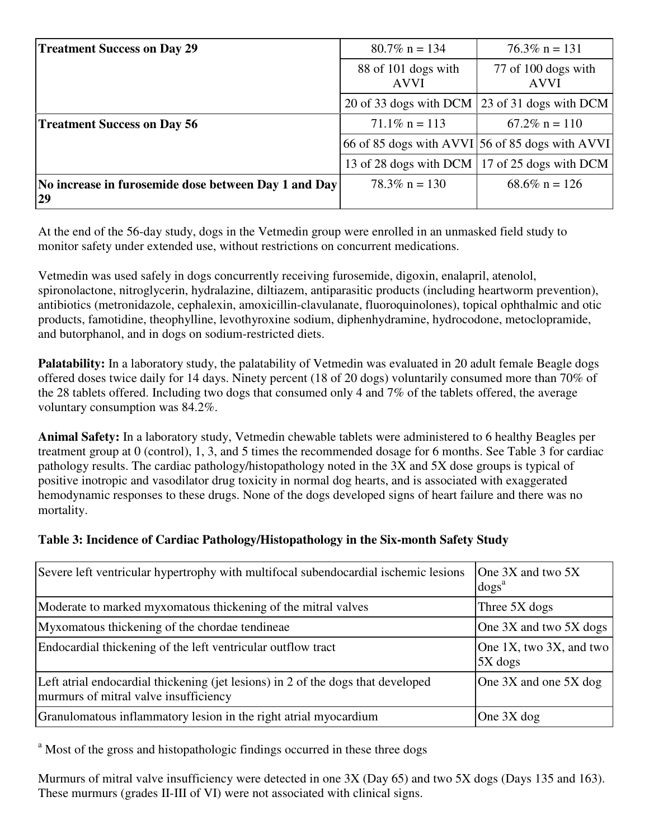| <b>Treatment Success on Day 29</b>                          | $80.7\%$ n = 134                   | $76.3\%$ n = 131                                |
|-------------------------------------------------------------|------------------------------------|-------------------------------------------------|
|                                                             | 88 of 101 dogs with<br><b>AVVI</b> | 77 of 100 dogs with<br><b>AVVI</b>              |
|                                                             |                                    | 20 of 33 dogs with DCM 23 of 31 dogs with DCM   |
| <b>Treatment Success on Day 56</b>                          | $71.1\%$ n = 113                   | $67.2\%$ n = 110                                |
|                                                             |                                    | 66 of 85 dogs with AVVI 56 of 85 dogs with AVVI |
|                                                             |                                    | 13 of 28 dogs with DCM   17 of 25 dogs with DCM |
| No increase in furosemide dose between Day 1 and Day<br> 29 | $78.3\%$ n = 130                   | $68.6\%$ n = 126                                |

At the end of the 56-day study, dogs in the Vetmedin group were enrolled in an unmasked field study to monitor safety under extended use, without restrictions on concurrent medications.

Vetmedin was used safely in dogs concurrently receiving furosemide, digoxin, enalapril, atenolol, spironolactone, nitroglycerin, hydralazine, diltiazem, antiparasitic products (including heartworm prevention), antibiotics (metronidazole, cephalexin, amoxicillin-clavulanate, fluoroquinolones), topical ophthalmic and otic products, famotidine, theophylline, levothyroxine sodium, diphenhydramine, hydrocodone, metoclopramide, and butorphanol, and in dogs on sodium-restricted diets.

**Palatability:** In a laboratory study, the palatability of Vetmedin was evaluated in 20 adult female Beagle dogs offered doses twice daily for 14 days. Ninety percent (18 of 20 dogs) voluntarily consumed more than 70% of the 28 tablets offered. Including two dogs that consumed only 4 and 7% of the tablets offered, the average voluntary consumption was 84.2%.

**Animal Safety:** In a laboratory study, Vetmedin chewable tablets were administered to 6 healthy Beagles per treatment group at 0 (control), 1, 3, and 5 times the recommended dosage for 6 months. See Table 3 for cardiac pathology results. The cardiac pathology/histopathology noted in the 3X and 5X dose groups is typical of positive inotropic and vasodilator drug toxicity in normal dog hearts, and is associated with exaggerated hemodynamic responses to these drugs. None of the dogs developed signs of heart failure and there was no mortality.

# **Table 3: Incidence of Cardiac Pathology/Histopathology in the Six-month Safety Study**

| Severe left ventricular hypertrophy with multifocal subendocardial ischemic lesions                                       | One $3X$ and two $5X$<br>$\log s^a$ |
|---------------------------------------------------------------------------------------------------------------------------|-------------------------------------|
| Moderate to marked myxomatous thickening of the mitral valves                                                             | Three 5X dogs                       |
| Myxomatous thickening of the chordae tendineae                                                                            | One 3X and two 5X dogs              |
| Endocardial thickening of the left ventricular outflow tract                                                              | One 1X, two 3X, and two<br>5X dogs  |
| Left atrial endocardial thickening (jet lesions) in 2 of the dogs that developed<br>murmurs of mitral valve insufficiency | One $3X$ and one $5X$ dog           |
| Granulomatous inflammatory lesion in the right atrial myocardium                                                          | One 3X dog                          |

<sup>a</sup> Most of the gross and histopathologic findings occurred in these three dogs

Murmurs of mitral valve insufficiency were detected in one 3X (Day 65) and two 5X dogs (Days 135 and 163). These murmurs (grades II-III of VI) were not associated with clinical signs.